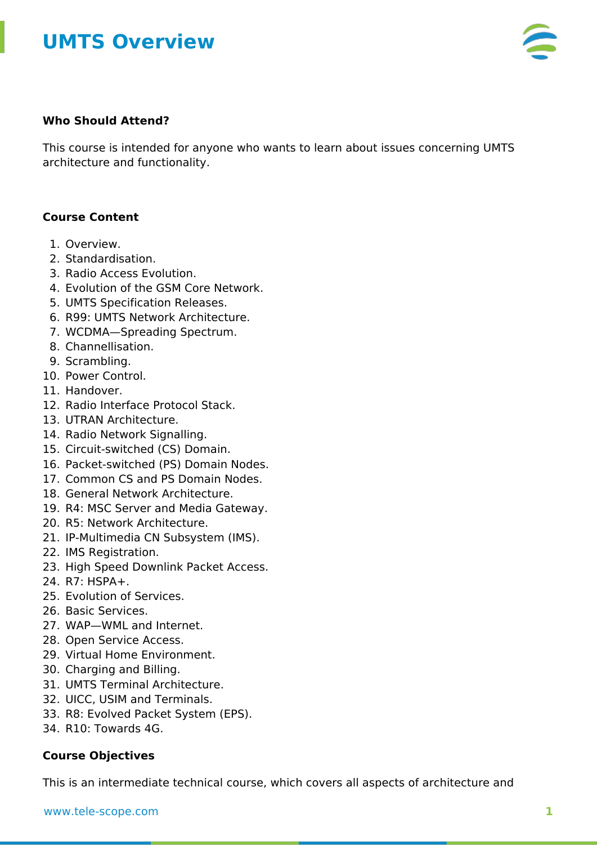# **UMTS Overview**



### **Who Should Attend?**

This course is intended for anyone who wants to learn about issues concerning UMTS architecture and functionality.

### **Course Content**

- 1. Overview.
- 2. Standardisation.
- 3. Radio Access Evolution.
- 4. Evolution of the GSM Core Network.
- 5. UMTS Specification Releases.
- 6. R99: UMTS Network Architecture.
- 7. WCDMA—Spreading Spectrum.
- 8. Channellisation.
- 9. Scrambling.
- 10. Power Control.
- 11. Handover.
- 12. Radio Interface Protocol Stack.
- 13. UTRAN Architecture.
- 14. Radio Network Signalling.
- 15. Circuit-switched (CS) Domain.
- 16. Packet-switched (PS) Domain Nodes.
- 17. Common CS and PS Domain Nodes.
- 18. General Network Architecture.
- 19. R4: MSC Server and Media Gateway.
- 20. R5: Network Architecture.
- 21. IP-Multimedia CN Subsystem (IMS).
- 22. IMS Registration.
- 23. High Speed Downlink Packet Access.
- $24$  R7: HSPA+
- 25. Evolution of Services.
- 26. Basic Services.
- 27. WAP—WML and Internet.
- 28. Open Service Access.
- 29. Virtual Home Environment.
- 30. Charging and Billing.
- 31. UMTS Terminal Architecture.
- 32. UICC, USIM and Terminals.
- 33. R8: Evolved Packet System (EPS).
- 34. R10: Towards 4G.

### **Course Objectives**

This is an intermediate technical course, which covers all aspects of architecture and